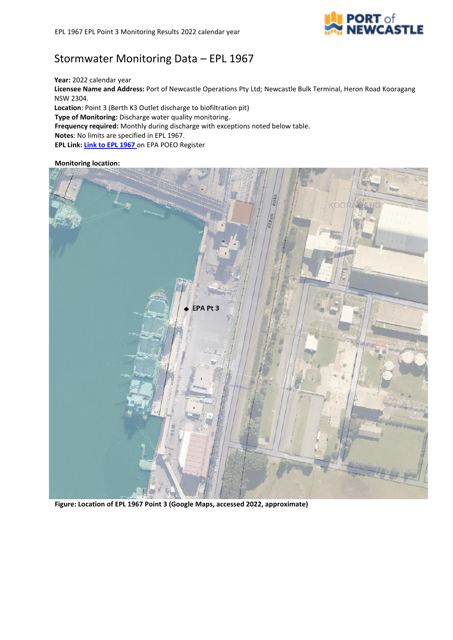

## Stormwater Monitoring Data – EPL 1967

**Year:** 2022 calendar year

**Licensee Name and Address:** Port of Newcastle Operations Pty Ltd; Newcastle Bulk Terminal, Heron Road Kooragang NSW 2304.

**Location**: Point 3 (Berth K3 Outlet discharge to biofiltration pit) **Type of Monitoring:** Discharge water quality monitoring. **Frequency required:** Monthly during discharge with exceptions noted below table. **Notes**: No limits are specified in EPL 1967. **EPL Link[: Link to EPL 1967](https://apps.epa.nsw.gov.au/prpoeoapp/ViewPOEOLicence.aspx?DOCID=230969&SYSUID=1&LICID=1967)** on EPA POEO Register

**Monitoring location:**



**Figure: Location of EPL 1967 Point 3 (Google Maps, accessed 2022, approximate)**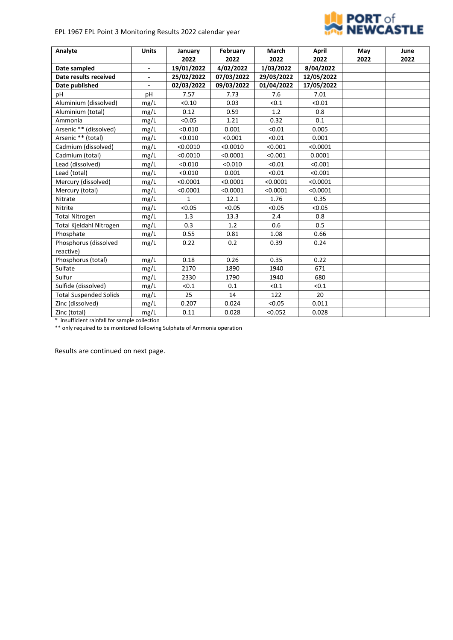## EPL 1967 EPL Point 3 Monitoring Results 2022 calendar year



| Analyte                       | <b>Units</b>                 | January    | February   | <b>March</b> | April      | May  | June |
|-------------------------------|------------------------------|------------|------------|--------------|------------|------|------|
|                               |                              | 2022       | 2022       | 2022         | 2022       | 2022 | 2022 |
| Date sampled                  | $\overline{\phantom{a}}$     | 19/01/2022 | 4/02/2022  | 1/03/2022    | 8/04/2022  |      |      |
| Date results received         | $\qquad \qquad \blacksquare$ | 25/02/2022 | 07/03/2022 | 29/03/2022   | 12/05/2022 |      |      |
| Date published                |                              | 02/03/2022 | 09/03/2022 | 01/04/2022   | 17/05/2022 |      |      |
| pH                            | pH                           | 7.57       | 7.73       | 7.6          | 7.01       |      |      |
| Aluminium (dissolved)         | mg/L                         | < 0.10     | 0.03       | < 0.1        | < 0.01     |      |      |
| Aluminium (total)             | mg/L                         | 0.12       | 0.59       | 1.2          | 0.8        |      |      |
| Ammonia                       | mg/L                         | < 0.05     | 1.21       | 0.32         | 0.1        |      |      |
| Arsenic ** (dissolved)        | mg/L                         | < 0.010    | 0.001      | < 0.01       | 0.005      |      |      |
| Arsenic ** (total)            | mg/L                         | < 0.010    | < 0.001    | < 0.01       | 0.001      |      |      |
| Cadmium (dissolved)           | mg/L                         | < 0.0010   | < 0.0010   | < 0.001      | < 0.0001   |      |      |
| Cadmium (total)               | mg/L                         | < 0.0010   | < 0.0001   | < 0.001      | 0.0001     |      |      |
| Lead (dissolved)              | mg/L                         | < 0.010    | < 0.010    | < 0.01       | < 0.001    |      |      |
| Lead (total)                  | mg/L                         | < 0.010    | 0.001      | < 0.01       | < 0.001    |      |      |
| Mercury (dissolved)           | mg/L                         | < 0.0001   | < 0.0001   | < 0.0001     | < 0.0001   |      |      |
| Mercury (total)               | mg/L                         | < 0.0001   | < 0.0001   | < 0.0001     | < 0.0001   |      |      |
| Nitrate                       | mg/L                         | 1          | 12.1       | 1.76         | 0.35       |      |      |
| Nitrite                       | mg/L                         | < 0.05     | < 0.05     | < 0.05       | < 0.05     |      |      |
| <b>Total Nitrogen</b>         | mg/L                         | 1.3        | 13.3       | 2.4          | 0.8        |      |      |
| Total Kjeldahl Nitrogen       | mg/L                         | 0.3        | 1.2        | 0.6          | 0.5        |      |      |
| Phosphate                     | mg/L                         | 0.55       | 0.81       | 1.08         | 0.66       |      |      |
| Phosphorus (dissolved         | mg/L                         | 0.22       | 0.2        | 0.39         | 0.24       |      |      |
| reactive)                     |                              |            |            |              |            |      |      |
| Phosphorus (total)            | mg/L                         | 0.18       | 0.26       | 0.35         | 0.22       |      |      |
| Sulfate                       | mg/L                         | 2170       | 1890       | 1940         | 671        |      |      |
| Sulfur                        | mg/L                         | 2330       | 1790       | 1940         | 680        |      |      |
| Sulfide (dissolved)           | mg/L                         | < 0.1      | 0.1        | < 0.1        | < 0.1      |      |      |
| <b>Total Suspended Solids</b> | mg/L                         | 25         | 14         | 122          | 20         |      |      |
| Zinc (dissolved)              | mg/L                         | 0.207      | 0.024      | < 0.05       | 0.011      |      |      |
| Zinc (total)                  | mg/L                         | 0.11       | 0.028      | < 0.052      | 0.028      |      |      |

\* insufficient rainfall for sample collection

\*\* only required to be monitored following Sulphate of Ammonia operation

Results are continued on next page.